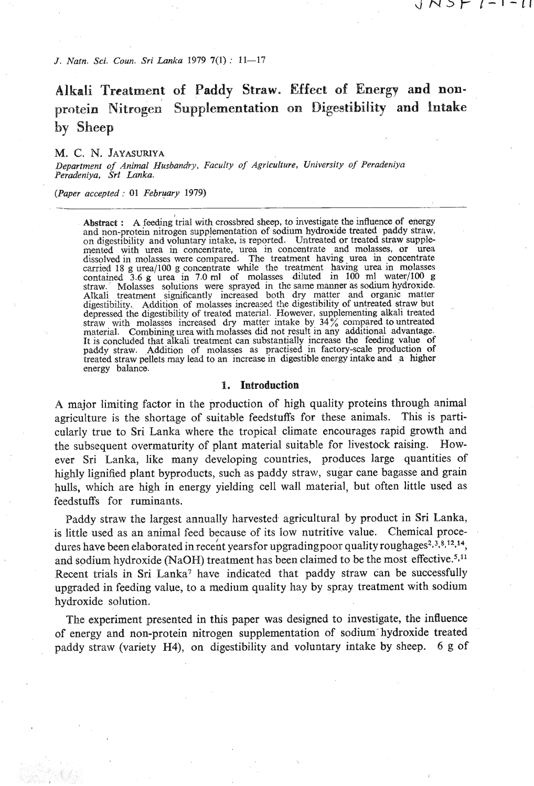*J. Natn. Sci. Gun. Sri Lanka 1979* **7(1)** : **11-17** 

# **Alkali Treatment of Paddy Straw. Effect of Energy and non**protein Nitrogen Supplementation on Digestibility and Intake **by Sheep**

すいつと レートーロ

#### **M. C. N. JAYASURIYA**

*Department* **of** *Animal Husbandry, Faculty* **of** *Agriculture, Uiliversity* **of** *Peradeniya Peradeniya, Sri Lnnka.* 

*(Paper accepted:* 01 *February* 1979)

Abstract : A feeding trial with crossbred sheep, to investigate the influence of energy and non-protein nitrogen supplementation of sodium hydroxide treated paddy straw, on digestibility and voluntary intake, is reported. carried 18 g urea/100 g concentrate while the treatment having urea in molasses contained 3.6 g urea in 7.0 ml of molasses diluted in 100 ml water/100 g straw. Molasses solutions were sprayed in the same manner as sodurn digestibility. Addition of molasses increased the digestibility of untreated straw but depressed the digestibility of treated material. However, supplementing alkali treated straw with molasses increased dry matter intake by, **34%** compared to untreated material. Combining urea with molasses did not result in any additional advantage.<br>It is concluded that alkali treatment can substantially increase the feeding value of paddy straw. Addition of molasses as practised in factory-scale production of treated straw pellets may lead to an increase in digestible energy intake and a higher energy balance.

#### **1. Introduction**

**A** major limiting factor in the production of high quality proteins through animal agriculture is the shortage of suitable feedstuffs for these animals. This is particularly true to Sri Lanka where the tropical climate encourages rapid growth and the subsequent overmaturity of plant material suitable for livestock raising. However Sri Lanka, like many developing countries, produces large quantities of highly lignified plant byproducts, such as paddy straw, sugar cane bagasse and grain hulls, which are high in energy yielding cell wall material, but often little used as feedstuffs for ruminants.

Paddy straw the largest annually harvested- agricultural by product in Sri Lanka, is little used as an animal feed because of its low nutritive value. Chemical procedures have been elaborated in recent yearsfor upgradingpoor quality roughages<sup>2,3,8,12,14</sup>, and sodium hydroxide (NaOH) treatment has been claimed to be the most effective.<sup>5,11</sup> Recent trials in Sri Lanka<sup>7</sup> have indicated that paddy straw can be successfully upgraded in feeding value, to a medium quality hay by spray treatment with sodium hydroxide solution.

The experiment presented in this paper was designed to investigate, the influence of energy and non-protein nitrogen supplementation of sodium-hydroxide treated paddy straw (variety **H4),** on digestibility and voluntary intake by sheep. **6** g of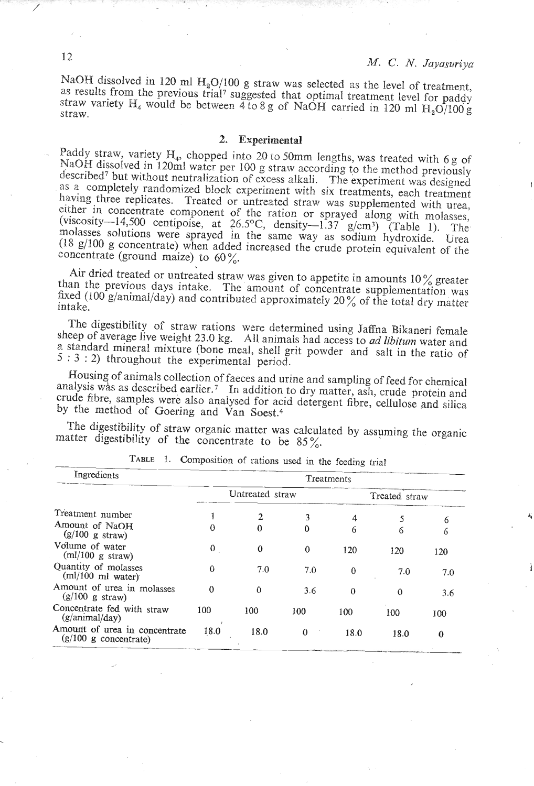NaOH dissolved in 120 ml  $H_2O/100$  g straw was selected as the level of treatment, as results from the previous trial<sup>7</sup> suggested that optimal treatment level for paddy straw variety H<sub>4</sub> would be between  $\frac{3}{4}$  to 8 g of NaOH carried in 120 ml H<sub>2</sub>O/100 g straw.

#### **2. Experimental**

Paddy straw, variety H<sub>4</sub>, chopped into 20 to 50mm lengths, was treated with 6 g of NaOH dissolved in 120ml water per 100 g straw according to the method previously described<sup>7</sup> but without neutralization of excess alkali. The experiment was designed as a completely randomized block experiment with six treatments, each treatment having three replicates. Treated or untreated straw was supplemented with urea, either in concentrate component of the ration or sprayed along with molasses, viscosity-14,500 centipoise, at  $26.5^{\circ}\text{C}$  density-1.37  $g/cm^3$ ) (Table 1). The molasses solutions were sprayed in the same way as sodium hydroxide. The (18 g/100 g concentrate) when added increased the crude protein equivalent of the concentrate (ground maize) to  $60\%$ .

Air dried treated or untreated straw was given to appetite in amounts 10% greater than the previous days intake. The amount of concentrate supplementation was  $f(xed (100 \text{ g/animal/day})$  and contributed approximately 20 % of the total dry matter. ntake.

The digestibility of straw rations were determined using Jaffna Bikaneri female sheep of average live weight 23.0 kg. All animals had access to ad *libitum* water and standard mineral mixture (bone meal, shell grit powder and salt in the ratio of : 3 : 2) throughout the experimental period.

Housing of animals collection of faeces and urine and sampling of feed for chemical nalysis was as described earlier.<sup>7</sup> In addition to dry matter, ash, crude protein and analysis was as described earlier.<sup>7</sup> In addition to dry matter, ash, crude protein and crude fibre, samples were also analysed for acid detergent fibre, cellulose and silica by the method of Goering and Van Soest.<sup>4</sup>

The digestibility of straw organic matter was calculated by assuming the organic

| TABLE 1. Composition of rations used in the feeding trial    |             |                 |             |            |               |     |
|--------------------------------------------------------------|-------------|-----------------|-------------|------------|---------------|-----|
| Ingredients                                                  |             |                 |             | Treatments |               |     |
|                                                              |             | Untreated straw |             |            | Treated straw |     |
| Treatment number                                             |             | 2               | 3           | 4          | 5             | 6   |
| Amount of NaOH<br>$(g/100 g \text{ straw})$                  | 0           | 0               | $\mathbf 0$ | 6          | 6             | 6   |
| Volume of water<br>(ml/100 g straw)                          | $\mathbf 0$ | $\bf{0}$        | $\theta$    | 120        | 120           | 120 |
| Quantity of molasses<br>$(ml/100 \text{ ml water})$          | ∩           | 7.0             | 7.0         | $\theta$   | 7.0           | 7.0 |
| Amount of urea in molasses<br>(g/100 g straw)                | $\Omega$    | $\mathbf{0}$    | 3.6         | $\theta$   | $\Omega$      | 3.6 |
| Concentrate fed with straw<br>$(g/\text{animal}/\text{day})$ | 100         | 100             | 100         | 100        | 100           | 100 |
| Amount of urea in concentrate<br>$(g/100 g$ concentrate)     | 18.0        | 18.0            | $\bf{0}$    | 18.0       | 18.0          | 0   |

12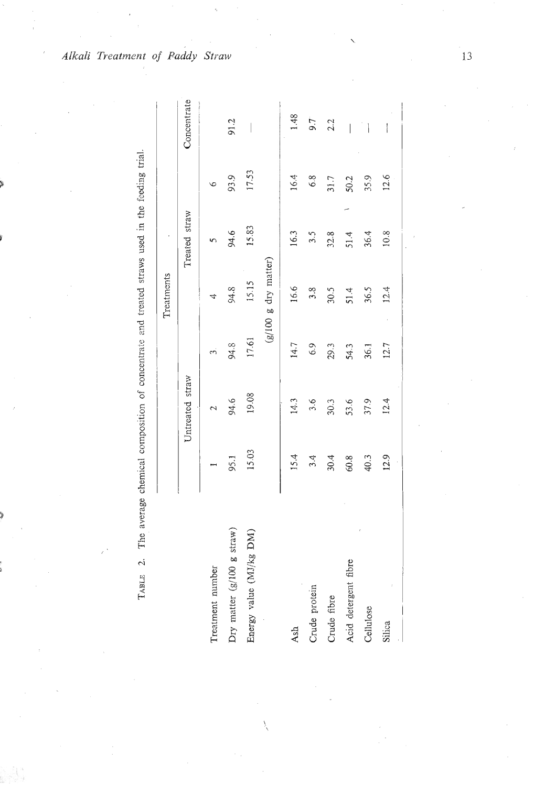| ֧֧֧֧֧֧֦֧ׅ֧֧ׅ֧ׅ֧֧ׅ֧֦֧ׅ֧֪֧֧֦֧֚֚֚֚֚֚֚֚֚֚֚֚֚֚֚֚֚֚֚֚֚֚֚֝֝֝֓֝֬֝֓֜֝֬֜֜֝֬֜֜֝֬֝<br>l |
|-----------------------------------------------------------------------------|
| ֠<br>i                                                                      |
| $\vdots$                                                                    |
| $\ddot{\phantom{a}}$                                                        |
| )<br>}                                                                      |
| $\ddot{\phantom{a}}$                                                        |
|                                                                             |
| ĺ                                                                           |
| i<br>l                                                                      |
|                                                                             |
| <br>.<br>-<br>-                                                             |
| ţ<br>.<br>.<br>.                                                            |
| ׇ֖֖֚֚֚֡֬֝֬<br>i                                                             |
| i<br>i                                                                      |
| å                                                                           |
| j<br>i<br>$\overline{a}$<br>į<br>É                                          |

|                            |       |                 |       | Treatments           |               |         |                          |
|----------------------------|-------|-----------------|-------|----------------------|---------------|---------|--------------------------|
|                            |       | Untreated straw |       |                      | Treated straw |         | Concentrate              |
| Treatment number           |       | $\mathbf{\sim}$ | S     |                      |               | $\circ$ |                          |
| Dry matter (g/100 g straw) | 95.1  | 94.6            | 94.8  | 94.8                 | 94.6          | 93.9    | 91.2                     |
| Energy value (MJ/kg DM)    | 15.03 | 19.08           | 17.61 | 15.15                | 15.83         | 17.53   |                          |
|                            |       |                 |       | (g/100 g dry matter) |               |         |                          |
| Ash                        | 15.4  | 14.3            | 14.7  | 16.6                 | 16.3          | 16.4    | 1.48                     |
| Crude protein              | 3.4   | 3.6             | 6.9   | 3.8                  | 3.5           | 6.8     | 9.7                      |
| Crude fibre                | 30.4  | 30.3            | 29.3  | 30.5                 | 32.8          | 31.7    | 2.2                      |
| Acid detergent fibre       | 60.8  | 53.6            | 54.3  | 51.4                 | 51.4          | 50.2    | $\overline{\phantom{a}}$ |
| Cellulose                  | 40.3  | 37.9            | 36.1  | 36.5                 | 36.4          | 35.9    | $\overline{\phantom{a}}$ |
| Silica                     | 12.9  | 12.4            | 127   | 12.4                 | $10.8$        | 12.6    | I                        |
|                            |       |                 |       |                      |               |         |                          |

Alkali Treatment of Paddy Straw

 $13$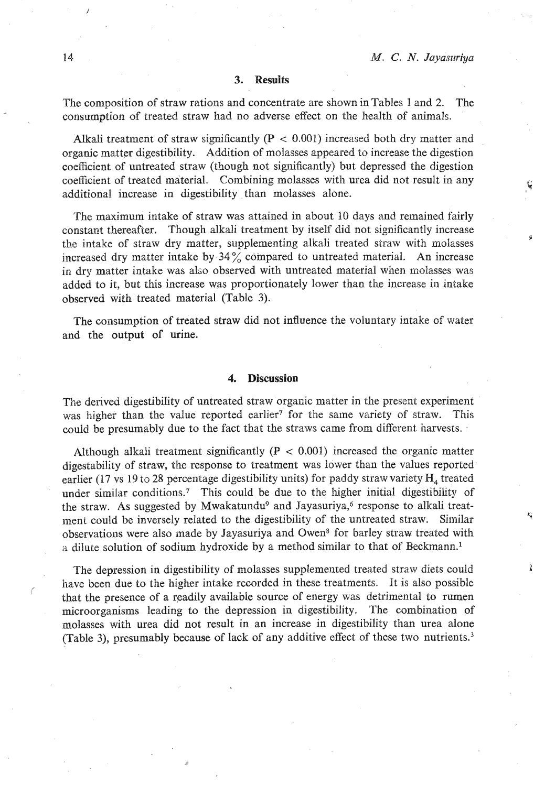#### **3. Results**

The composition of straw rations and concentrate are shown in Tables 1 and 2. The consumption of treated straw had no adverse effect on the health of animals.

Alkali treatment of straw significantly  $(P < 0.001)$  increased both dry matter and organic matter digestibility. Addition of molasses appeared to increase the digestion coefficient of untreated straw (though not significantly) but depressed the digestion coefficient of treated material. Combining molasses with urea did not result in any additional increase in digestibility than molasses alone.

The maximum intake of straw was attained in about 10 days and remained fairly constant thereafter. Though alkali treatment by itself did not significantly increase the intake of straw dry matter, supplementing alkali treated straw with molasses increased dry matter intake by  $34\%$  compared to untreated material. An increase in dry matter intake was also observed with untreated material when molasses was added to it, but this increase was proportionately lower than the increase in intake observed with treated material (Table **3).** 

The consumption of treated straw did not intluence the voluntary intake of water and the output of urine.

#### **4. Discussion**

The derived digestibility of untreated straw organic matter in the present experiment was higher than the value reported earlier<sup>7</sup> for the same variety of straw. This could be presumably due to the fact that the straws came from different harvests. -

Although alkali treatment significantly **(P** < 0.001) increased the organic matter digestability of straw, the response to treatment was lower than the values reported earlier (17 vs 19 to 28 percentage digestibility units) for paddy straw variety **H,** treated under similar conditions.7 This could be due to the higher initial digestibility of the straw. As suggested by Mwakatundu<sup>9</sup> and Jayasuriya, $6$  response to alkali treatment could be inversely related to the digestibility of the untreated straw. Similar observations were also made by Jayasuriya and Owena for barley straw treated with a dilute solution of sodium hydroxide by a method similar to that of Beckmann.1

The depression in digestibility of molasses supplemented treated straw diets could have been due to the higher intake recorded in these treatments. It is also possible that the presence of a readily available source of energy was detrimental to rumen microorganisms leading to the depression in digestibility. The combination of molasses with urea did not result in an increase in digestibility than urea alone (Table **3),** presumably because of lack of any additive effect of these two nutrient^.^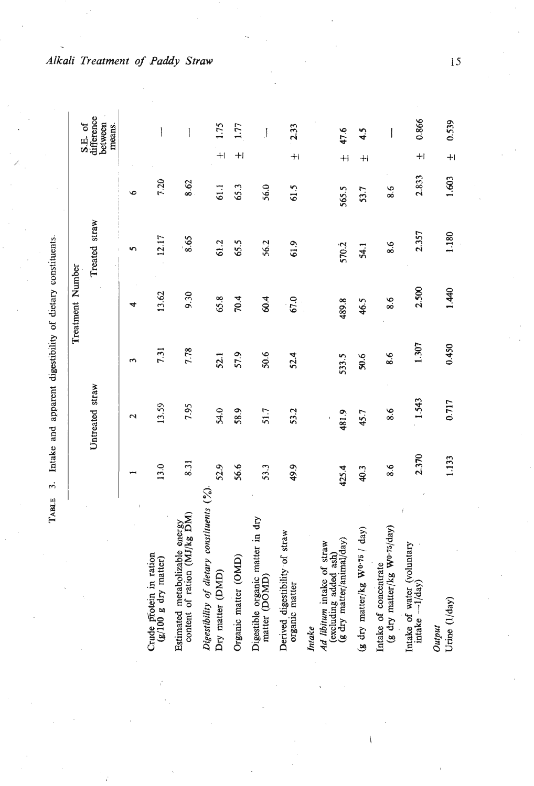| į                  |
|--------------------|
|                    |
|                    |
|                    |
| and                |
| $\frac{1}{2}$<br>l |
| ;                  |
|                    |

|                                                                                            |       |                        |                      | <b>Treatment Number</b> |                   |       |         | S.E. of                         |  |
|--------------------------------------------------------------------------------------------|-------|------------------------|----------------------|-------------------------|-------------------|-------|---------|---------------------------------|--|
|                                                                                            |       | Untreated straw        |                      |                         | Treated straw     |       |         | difference<br>between<br>means. |  |
|                                                                                            |       | $\mathbf{\mathcal{L}}$ | $\mathbf{\tilde{z}}$ |                         |                   | ی     |         |                                 |  |
| Crude protein in ration<br>(g/100 g dry matter)                                            | 13.0  | 13.59                  | 7.31                 | 13.62                   | 12.17             | 7.20  |         | $\mathbf{I}$                    |  |
| content of ration (MJ/kg DM)<br>Estimated metabolizable energy                             | 8.31  | 7.95                   | 7.78                 | 9.30                    | $\overline{8.65}$ | 8.62  |         |                                 |  |
| Digestibility of dietary constituents $(°0)$<br>Dry matter (DMD)                           | 52.9  | 54.0                   | 52.1                 | 65.8                    | 61.2              | 61.1  | $^{+}$  | 511                             |  |
| Organic matter (OMD)                                                                       | 56.6  | 58.9                   | 57.9                 | 70.4                    | 65.5              | 65.3  | $^{+}$  | 1.77                            |  |
| Digestible organic matter in dry<br>matter (DOMD)                                          | 53.3  | 51.7                   | 50.6                 | 60.4                    | 56.2              | 56.0  |         | $\begin{array}{c} \end{array}$  |  |
| Derived digestibility of straw<br>organic matter                                           | 49.9  | 53.2                   | 52.4                 | 67.0                    | 61.9              | 61.5  | $+1$    | 2.33                            |  |
| (g dry matter/animal/day)<br>Ad libitum intake of straw<br>(excluding added ash)<br>Intake | 425.4 | 481.9                  | 533.5                | 489.8                   | 570.2             | 565.5 | $^{+}$  | 47.6                            |  |
| (g dry matter/kg Wo.75 / day)                                                              | 40.3  | 45.7                   | 50.6                 | 46.5                    | 54.1              | 53.7  | $+1$    | 4.5                             |  |
| (g dry matter/kg Wo.75/day)<br>Intake of concentrate                                       | 8.6   | 8.6                    | $\frac{6}{8}$        | 8.6                     | $\frac{8}{6}$     | 8.6   |         | l                               |  |
| Intake of water (voluntary<br>$intake -1/day)$                                             | 2.370 | 1.543                  | 1.307                | 2.500                   | 2.357             | 2.833 | $^{+1}$ | 0.866                           |  |
| Urine (1/day)<br>Output                                                                    | 1.133 | 0.717                  | 0.450                | 1.440                   | 1.180             | 1.603 | $+1$    | 0.539                           |  |

Alkali Treatment of Paddy Straw

 $15$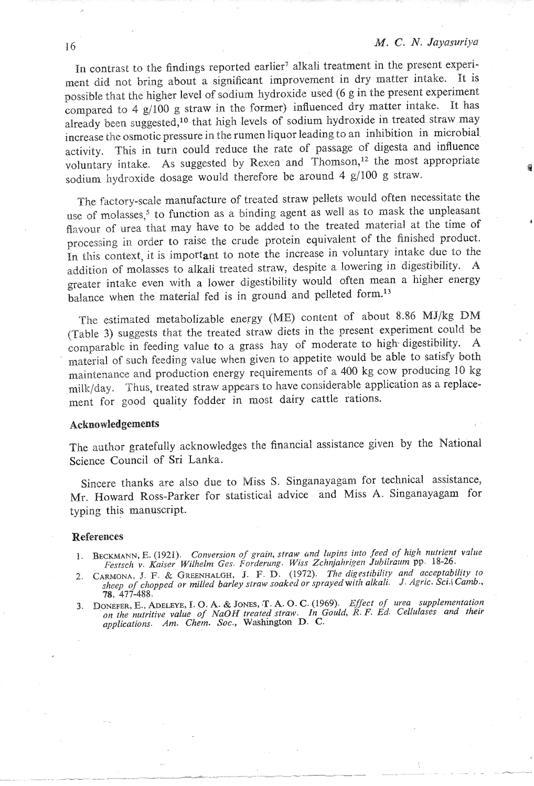In contrast to the findings reported earlier<sup>7</sup> alkali treatment in the present experiment did not bring about a significant improvement in dry matter intake. It is possible that the higher level of sodium hydroxide used (6 gin the present experiment compared to 4 g/100 g straw in the former) influenced dry matter intake. It has already been suggested,<sup>10</sup> that high levels of sodium hydroxide in treated straw may increase the osmotic pressure in the rumen liquor leading to an inhibition in microbial activity. This in turn could reduce the rate of passage of digesta and influence voluntary intake. As suggested by Rexen and Thomson,<sup>12</sup> the most appropriate sodium hydroxide dosage would therefore be around 4 g/100 g straw.

The factory-scale manufacture of treated straw pellets would often necessitate the use of molasses,<sup>5</sup> to function as a binding agent as well as to mask the unpleasant flavour of urea that may have to be added to the treated material at the time of processing in order to raise the crude protein equivalent of the finished product. In this context, it is important to note the increase in voluntary intake due to the addition of molasses to alkali treated straw, despite a lowering in digestibility. **A**  greater intake even with a lower digestibility would often mean a higher energy balance when the material fed is in ground and pelleted form.<sup>13</sup>

The estimated metabolizable energy (ME) content of about 8.86 MJ/kg DM {Table **3)** suggests that the treated straw diets in the prescnt experiment could be comparable in feeding value to a grass hay of moderate to high- digestibility. A material of such feeding value when given to appetite would be able to satisfy both maintenance and production energy requirements of a 400 kg cow producing 10 kg milk/day. Thus, treated straw appears to have considerable application as a replacement for good quality fodder in most dairy cattle rations.

### Acknowledgements

The author gratefully acknowledges the financial assistance given by the National Science Council of Sri Lanka.

Sincerc thanks are also due to Miss S. Singanayagam for technical assistance, Mr. Howard Ross-Parker for statistical advice and Miss A. Singanayagam for typing this manuscript.

#### **References**

- **1. BECKMAMN, E. (1921).** *Conversion of grain, straw* **and** *lupins into feed of high nirtrient vdue Festsch v. Kaiser Wilhelm Ges. Forderung. Wiss Zchnjahr(yeiz Jubilrarim* **pp. 18-26.**
- 2. CARMONA, J. F. & GREENHALGH, J. F. D. (1972). The digestibility and acceptability to RINOINA, J. P. & SKEENHALSH, J. P. *S. Reserves the Figure of Chopped With alkali.* J. Agric. Sci.1 *Camb.*, **78, 487**<br>heep of chopped or milled barley straw soaked or sprayed with alkali. J. Agric. Sci.1 *Camb.*,
- 78, 477-488.<br>
3. DONEFER, E., ADELEYE, I. O. A. & JONES, T. A. O. C. (1969). Effect of urea supplementation<br>
on the nuitrive value of NaOH treated straw. In Gould, R. F. Ed. Cellulases and their<br>
applications 4m Chem Soc.